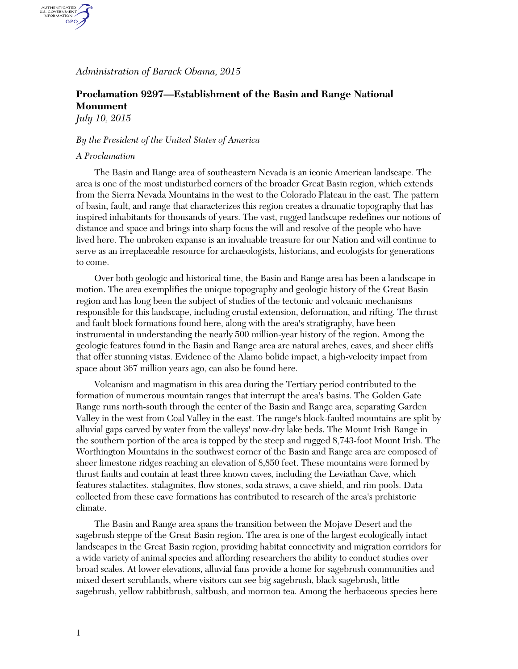*Administration of Barack Obama, 2015*

## **Proclamation 9297—Establishment of the Basin and Range National Monument**

*July 10, 2015*

AUTHENTICATED<br>U.S. GOVERNMENT<br>INFORMATION **GPO** 

## *By the President of the United States of America*

## *A Proclamation*

The Basin and Range area of southeastern Nevada is an iconic American landscape. The area is one of the most undisturbed corners of the broader Great Basin region, which extends from the Sierra Nevada Mountains in the west to the Colorado Plateau in the east. The pattern of basin, fault, and range that characterizes this region creates a dramatic topography that has inspired inhabitants for thousands of years. The vast, rugged landscape redefines our notions of distance and space and brings into sharp focus the will and resolve of the people who have lived here. The unbroken expanse is an invaluable treasure for our Nation and will continue to serve as an irreplaceable resource for archaeologists, historians, and ecologists for generations to come.

Over both geologic and historical time, the Basin and Range area has been a landscape in motion. The area exemplifies the unique topography and geologic history of the Great Basin region and has long been the subject of studies of the tectonic and volcanic mechanisms responsible for this landscape, including crustal extension, deformation, and rifting. The thrust and fault block formations found here, along with the area's stratigraphy, have been instrumental in understanding the nearly 500 million-year history of the region. Among the geologic features found in the Basin and Range area are natural arches, caves, and sheer cliffs that offer stunning vistas. Evidence of the Alamo bolide impact, a high-velocity impact from space about 367 million years ago, can also be found here.

Volcanism and magmatism in this area during the Tertiary period contributed to the formation of numerous mountain ranges that interrupt the area's basins. The Golden Gate Range runs north-south through the center of the Basin and Range area, separating Garden Valley in the west from Coal Valley in the east. The range's block-faulted mountains are split by alluvial gaps carved by water from the valleys' now-dry lake beds. The Mount Irish Range in the southern portion of the area is topped by the steep and rugged 8,743-foot Mount Irish. The Worthington Mountains in the southwest corner of the Basin and Range area are composed of sheer limestone ridges reaching an elevation of 8,850 feet. These mountains were formed by thrust faults and contain at least three known caves, including the Leviathan Cave, which features stalactites, stalagmites, flow stones, soda straws, a cave shield, and rim pools. Data collected from these cave formations has contributed to research of the area's prehistoric climate.

The Basin and Range area spans the transition between the Mojave Desert and the sagebrush steppe of the Great Basin region. The area is one of the largest ecologically intact landscapes in the Great Basin region, providing habitat connectivity and migration corridors for a wide variety of animal species and affording researchers the ability to conduct studies over broad scales. At lower elevations, alluvial fans provide a home for sagebrush communities and mixed desert scrublands, where visitors can see big sagebrush, black sagebrush, little sagebrush, yellow rabbitbrush, saltbush, and mormon tea. Among the herbaceous species here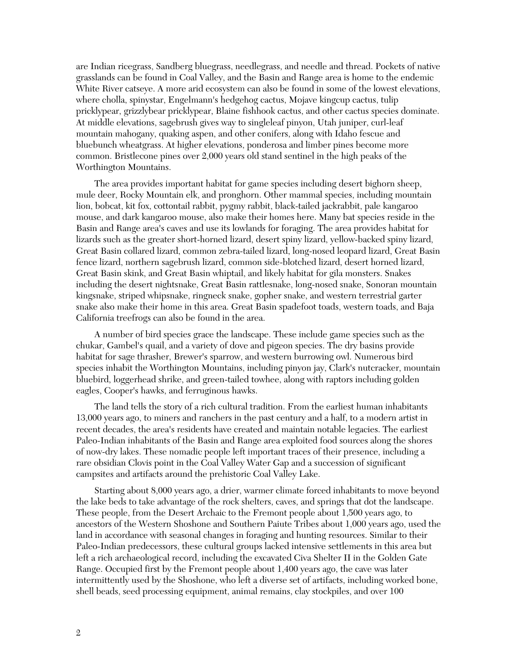are Indian ricegrass, Sandberg bluegrass, needlegrass, and needle and thread. Pockets of native grasslands can be found in Coal Valley, and the Basin and Range area is home to the endemic White River catseye. A more arid ecosystem can also be found in some of the lowest elevations, where cholla, spinystar, Engelmann's hedgehog cactus, Mojave kingcup cactus, tulip pricklypear, grizzlybear pricklypear, Blaine fishhook cactus, and other cactus species dominate. At middle elevations, sagebrush gives way to singleleaf pinyon, Utah juniper, curl-leaf mountain mahogany, quaking aspen, and other conifers, along with Idaho fescue and bluebunch wheatgrass. At higher elevations, ponderosa and limber pines become more common. Bristlecone pines over 2,000 years old stand sentinel in the high peaks of the Worthington Mountains.

The area provides important habitat for game species including desert bighorn sheep, mule deer, Rocky Mountain elk, and pronghorn. Other mammal species, including mountain lion, bobcat, kit fox, cottontail rabbit, pygmy rabbit, black-tailed jackrabbit, pale kangaroo mouse, and dark kangaroo mouse, also make their homes here. Many bat species reside in the Basin and Range area's caves and use its lowlands for foraging. The area provides habitat for lizards such as the greater short-horned lizard, desert spiny lizard, yellow-backed spiny lizard, Great Basin collared lizard, common zebra-tailed lizard, long-nosed leopard lizard, Great Basin fence lizard, northern sagebrush lizard, common side-blotched lizard, desert horned lizard, Great Basin skink, and Great Basin whiptail, and likely habitat for gila monsters. Snakes including the desert nightsnake, Great Basin rattlesnake, long-nosed snake, Sonoran mountain kingsnake, striped whipsnake, ringneck snake, gopher snake, and western terrestrial garter snake also make their home in this area. Great Basin spadefoot toads, western toads, and Baja California treefrogs can also be found in the area.

A number of bird species grace the landscape. These include game species such as the chukar, Gambel's quail, and a variety of dove and pigeon species. The dry basins provide habitat for sage thrasher, Brewer's sparrow, and western burrowing owl. Numerous bird species inhabit the Worthington Mountains, including pinyon jay, Clark's nutcracker, mountain bluebird, loggerhead shrike, and green-tailed towhee, along with raptors including golden eagles, Cooper's hawks, and ferruginous hawks.

The land tells the story of a rich cultural tradition. From the earliest human inhabitants 13,000 years ago, to miners and ranchers in the past century and a half, to a modern artist in recent decades, the area's residents have created and maintain notable legacies. The earliest Paleo-Indian inhabitants of the Basin and Range area exploited food sources along the shores of now-dry lakes. These nomadic people left important traces of their presence, including a rare obsidian Clovis point in the Coal Valley Water Gap and a succession of significant campsites and artifacts around the prehistoric Coal Valley Lake.

Starting about 8,000 years ago, a drier, warmer climate forced inhabitants to move beyond the lake beds to take advantage of the rock shelters, caves, and springs that dot the landscape. These people, from the Desert Archaic to the Fremont people about 1,500 years ago, to ancestors of the Western Shoshone and Southern Paiute Tribes about 1,000 years ago, used the land in accordance with seasonal changes in foraging and hunting resources. Similar to their Paleo-Indian predecessors, these cultural groups lacked intensive settlements in this area but left a rich archaeological record, including the excavated Civa Shelter II in the Golden Gate Range. Occupied first by the Fremont people about 1,400 years ago, the cave was later intermittently used by the Shoshone, who left a diverse set of artifacts, including worked bone, shell beads, seed processing equipment, animal remains, clay stockpiles, and over 100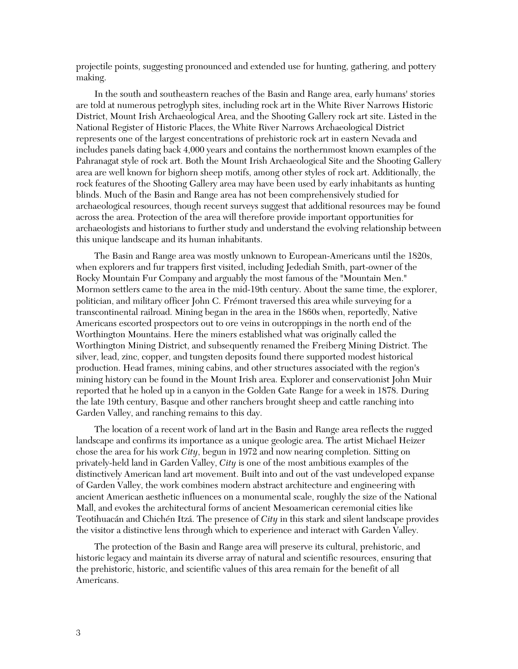projectile points, suggesting pronounced and extended use for hunting, gathering, and pottery making.

In the south and southeastern reaches of the Basin and Range area, early humans' stories are told at numerous petroglyph sites, including rock art in the White River Narrows Historic District, Mount Irish Archaeological Area, and the Shooting Gallery rock art site. Listed in the National Register of Historic Places, the White River Narrows Archaeological District represents one of the largest concentrations of prehistoric rock art in eastern Nevada and includes panels dating back 4,000 years and contains the northernmost known examples of the Pahranagat style of rock art. Both the Mount Irish Archaeological Site and the Shooting Gallery area are well known for bighorn sheep motifs, among other styles of rock art. Additionally, the rock features of the Shooting Gallery area may have been used by early inhabitants as hunting blinds. Much of the Basin and Range area has not been comprehensively studied for archaeological resources, though recent surveys suggest that additional resources may be found across the area. Protection of the area will therefore provide important opportunities for archaeologists and historians to further study and understand the evolving relationship between this unique landscape and its human inhabitants.

The Basin and Range area was mostly unknown to European-Americans until the 1820s, when explorers and fur trappers first visited, including Jedediah Smith, part-owner of the Rocky Mountain Fur Company and arguably the most famous of the "Mountain Men." Mormon settlers came to the area in the mid-19th century. About the same time, the explorer, politician, and military officer John C. Frémont traversed this area while surveying for a transcontinental railroad. Mining began in the area in the 1860s when, reportedly, Native Americans escorted prospectors out to ore veins in outcroppings in the north end of the Worthington Mountains. Here the miners established what was originally called the Worthington Mining District, and subsequently renamed the Freiberg Mining District. The silver, lead, zinc, copper, and tungsten deposits found there supported modest historical production. Head frames, mining cabins, and other structures associated with the region's mining history can be found in the Mount Irish area. Explorer and conservationist John Muir reported that he holed up in a canyon in the Golden Gate Range for a week in 1878. During the late 19th century, Basque and other ranchers brought sheep and cattle ranching into Garden Valley, and ranching remains to this day.

The location of a recent work of land art in the Basin and Range area reflects the rugged landscape and confirms its importance as a unique geologic area. The artist Michael Heizer chose the area for his work *City*, begun in 1972 and now nearing completion. Sitting on privately-held land in Garden Valley, *City* is one of the most ambitious examples of the distinctively American land art movement. Built into and out of the vast undeveloped expanse of Garden Valley, the work combines modern abstract architecture and engineering with ancient American aesthetic influences on a monumental scale, roughly the size of the National Mall, and evokes the architectural forms of ancient Mesoamerican ceremonial cities like Teotihuacán and Chichén Itzá. The presence of *City* in this stark and silent landscape provides the visitor a distinctive lens through which to experience and interact with Garden Valley.

The protection of the Basin and Range area will preserve its cultural, prehistoric, and historic legacy and maintain its diverse array of natural and scientific resources, ensuring that the prehistoric, historic, and scientific values of this area remain for the benefit of all Americans.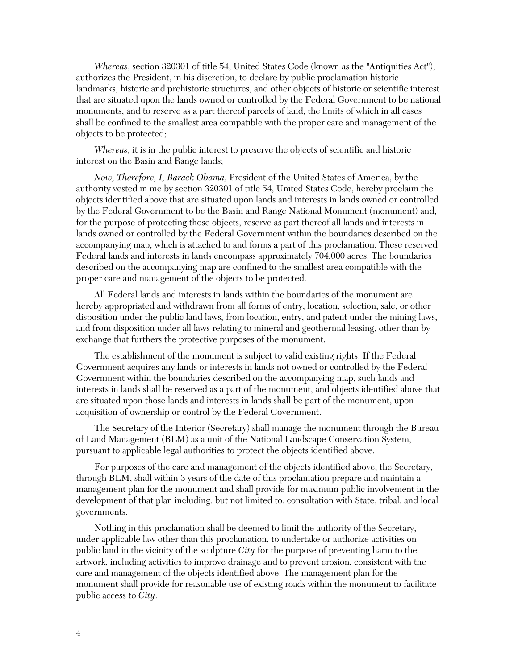*Whereas*, section 320301 of title 54, United States Code (known as the "Antiquities Act"), authorizes the President, in his discretion, to declare by public proclamation historic landmarks, historic and prehistoric structures, and other objects of historic or scientific interest that are situated upon the lands owned or controlled by the Federal Government to be national monuments, and to reserve as a part thereof parcels of land, the limits of which in all cases shall be confined to the smallest area compatible with the proper care and management of the objects to be protected;

*Whereas*, it is in the public interest to preserve the objects of scientific and historic interest on the Basin and Range lands;

*Now, Therefore, I, Barack Obama,* President of the United States of America, by the authority vested in me by section 320301 of title 54, United States Code, hereby proclaim the objects identified above that are situated upon lands and interests in lands owned or controlled by the Federal Government to be the Basin and Range National Monument (monument) and, for the purpose of protecting those objects, reserve as part thereof all lands and interests in lands owned or controlled by the Federal Government within the boundaries described on the accompanying map, which is attached to and forms a part of this proclamation. These reserved Federal lands and interests in lands encompass approximately 704,000 acres. The boundaries described on the accompanying map are confined to the smallest area compatible with the proper care and management of the objects to be protected.

All Federal lands and interests in lands within the boundaries of the monument are hereby appropriated and withdrawn from all forms of entry, location, selection, sale, or other disposition under the public land laws, from location, entry, and patent under the mining laws, and from disposition under all laws relating to mineral and geothermal leasing, other than by exchange that furthers the protective purposes of the monument.

The establishment of the monument is subject to valid existing rights. If the Federal Government acquires any lands or interests in lands not owned or controlled by the Federal Government within the boundaries described on the accompanying map, such lands and interests in lands shall be reserved as a part of the monument, and objects identified above that are situated upon those lands and interests in lands shall be part of the monument, upon acquisition of ownership or control by the Federal Government.

The Secretary of the Interior (Secretary) shall manage the monument through the Bureau of Land Management (BLM) as a unit of the National Landscape Conservation System, pursuant to applicable legal authorities to protect the objects identified above.

For purposes of the care and management of the objects identified above, the Secretary, through BLM, shall within 3 years of the date of this proclamation prepare and maintain a management plan for the monument and shall provide for maximum public involvement in the development of that plan including, but not limited to, consultation with State, tribal, and local governments.

Nothing in this proclamation shall be deemed to limit the authority of the Secretary, under applicable law other than this proclamation, to undertake or authorize activities on public land in the vicinity of the sculpture *City* for the purpose of preventing harm to the artwork, including activities to improve drainage and to prevent erosion, consistent with the care and management of the objects identified above. The management plan for the monument shall provide for reasonable use of existing roads within the monument to facilitate public access to *City*.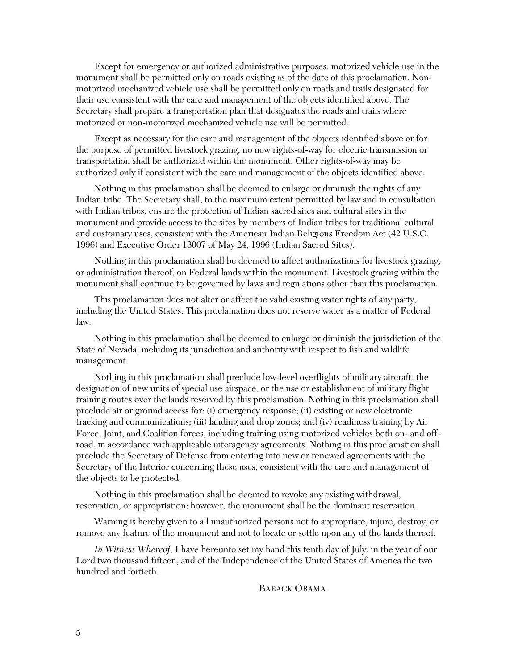Except for emergency or authorized administrative purposes, motorized vehicle use in the monument shall be permitted only on roads existing as of the date of this proclamation. Nonmotorized mechanized vehicle use shall be permitted only on roads and trails designated for their use consistent with the care and management of the objects identified above. The Secretary shall prepare a transportation plan that designates the roads and trails where motorized or non-motorized mechanized vehicle use will be permitted.

Except as necessary for the care and management of the objects identified above or for the purpose of permitted livestock grazing, no new rights-of-way for electric transmission or transportation shall be authorized within the monument. Other rights-of-way may be authorized only if consistent with the care and management of the objects identified above.

Nothing in this proclamation shall be deemed to enlarge or diminish the rights of any Indian tribe. The Secretary shall, to the maximum extent permitted by law and in consultation with Indian tribes, ensure the protection of Indian sacred sites and cultural sites in the monument and provide access to the sites by members of Indian tribes for traditional cultural and customary uses, consistent with the American Indian Religious Freedom Act (42 U.S.C. 1996) and Executive Order 13007 of May 24, 1996 (Indian Sacred Sites).

Nothing in this proclamation shall be deemed to affect authorizations for livestock grazing, or administration thereof, on Federal lands within the monument. Livestock grazing within the monument shall continue to be governed by laws and regulations other than this proclamation.

This proclamation does not alter or affect the valid existing water rights of any party, including the United States. This proclamation does not reserve water as a matter of Federal law.

Nothing in this proclamation shall be deemed to enlarge or diminish the jurisdiction of the State of Nevada, including its jurisdiction and authority with respect to fish and wildlife management.

Nothing in this proclamation shall preclude low-level overflights of military aircraft, the designation of new units of special use airspace, or the use or establishment of military flight training routes over the lands reserved by this proclamation. Nothing in this proclamation shall preclude air or ground access for: (i) emergency response; (ii) existing or new electronic tracking and communications; (iii) landing and drop zones; and (iv) readiness training by Air Force, Joint, and Coalition forces, including training using motorized vehicles both on- and offroad, in accordance with applicable interagency agreements. Nothing in this proclamation shall preclude the Secretary of Defense from entering into new or renewed agreements with the Secretary of the Interior concerning these uses, consistent with the care and management of the objects to be protected.

Nothing in this proclamation shall be deemed to revoke any existing withdrawal, reservation, or appropriation; however, the monument shall be the dominant reservation.

Warning is hereby given to all unauthorized persons not to appropriate, injure, destroy, or remove any feature of the monument and not to locate or settle upon any of the lands thereof.

*In Witness Whereof,* I have hereunto set my hand this tenth day of July, in the year of our Lord two thousand fifteen, and of the Independence of the United States of America the two hundred and fortieth.

BARACK OBAMA